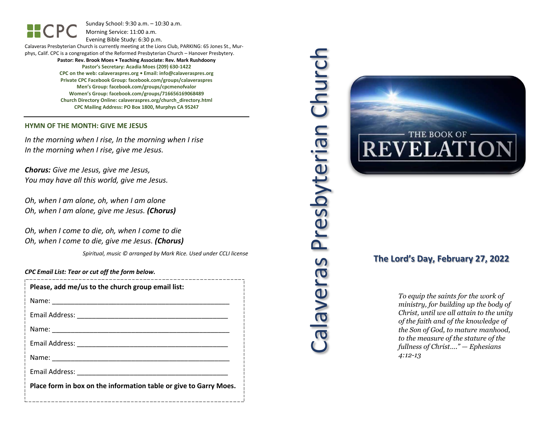Sunday School: 9: 3 0 a.m. – 10:30 a.m. Morning Service: 1 1 :00 a.m.

Evening Bible Study: 6: 30 p.m.

Calaveras Presbyterian Church is currently meeting at the Lions Club, PARKING: 65 Jones St., Murphys, Calif. CPC is a congregation of the Reformed Presbyterian Church – Hanover Presbytery. **Pastor: Rev. Brook Moes • Teaching Associate: Rev. Mark Rushdoony**

> **Pastor's Secretary: Acadia Moes (209) 630 -1422 CPC on the web: calaveraspres.org • Email: [info@calaveraspres.org](mailto:info@calaveraspres.org) Private CPC Facebook Group: facebook.com/groups/calaveraspres Men's Group: facebook.com/groups/cpcmenofvalor Women's Group: facebook.com/groups/716656169068489 Church Directory Online: calaveraspres.org/church \_directory.html CPC Mailing Address: PO Box 1800, Murphys CA 95247**

#### **HYMN OF THE MONTH: GIVE ME JESUS**

*In the morning when I rise, In the morning when I rise In the morning when I rise, give me Jesus .*

*Chorus: Give me Jesus, give me Jesus, You may have all this world, give me Jesus .*

*Oh, when I am alone, oh, when I am alone Oh, when I am alone, give me Jesus . (Chorus)*

*Oh, when I come to die, oh, when I come to die Oh, when I come to die, give me Jesus . (Chorus)*

*Spiritual, music © arranged by Mark Rice. Used under CCLI license*

*CPC Email List: Tear or cut off the form below .*

| Please, add me/us to the church group email list:                 |
|-------------------------------------------------------------------|
|                                                                   |
|                                                                   |
|                                                                   |
|                                                                   |
|                                                                   |
| Email Address: National Address:                                  |
| Place form in box on the information table or give to Garry Moes. |
|                                                                   |





# **The Lord's Day, February 2 7, 202 2**

*To equip the saints for the work of ministry, for building up the body of Christ, until we all attain to the unity of the faith and of the knowledge of the Son of God, to mature manhood, to the measure of the stature of the fullness of Christ…." — Ephesians 4:12 -13*